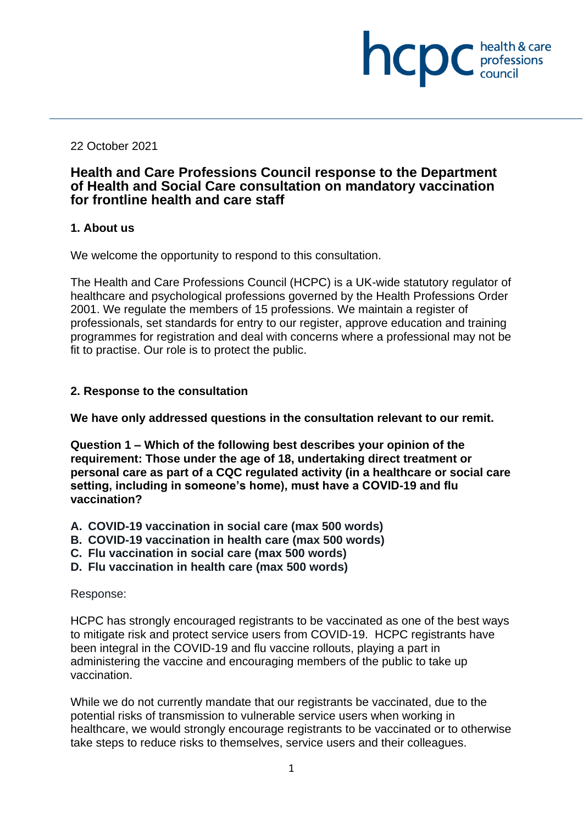22 October 2021

# **Health and Care Professions Council response to the Department of Health and Social Care consultation on mandatory vaccination for frontline health and care staff**

health & care

**INCIDE** chealth & care

### **1. About us**

We welcome the opportunity to respond to this consultation.

The Health and Care Professions Council (HCPC) is a UK-wide statutory regulator of healthcare and psychological professions governed by the Health Professions Order 2001. We regulate the members of 15 professions. We maintain a register of professionals, set standards for entry to our register, approve education and training programmes for registration and deal with concerns where a professional may not be fit to practise. Our role is to protect the public.

## **2. Response to the consultation**

**We have only addressed questions in the consultation relevant to our remit.**

**Question 1 – Which of the following best describes your opinion of the requirement: Those under the age of 18, undertaking direct treatment or personal care as part of a CQC regulated activity (in a healthcare or social care setting, including in someone's home), must have a COVID-19 and flu vaccination?**

- **A. COVID-19 vaccination in social care (max 500 words)**
- **B. COVID-19 vaccination in health care (max 500 words)**
- **C. Flu vaccination in social care (max 500 words)**
- **D. Flu vaccination in health care (max 500 words)**

#### Response:

HCPC has strongly encouraged registrants to be vaccinated as one of the best ways to mitigate risk and protect service users from COVID-19. HCPC registrants have been integral in the COVID-19 and flu vaccine rollouts, playing a part in administering the vaccine and encouraging members of the public to take up vaccination.

While we do not currently mandate that our registrants be vaccinated, due to the potential risks of transmission to vulnerable service users when working in healthcare, we would strongly encourage registrants to be vaccinated or to otherwise take steps to reduce risks to themselves, service users and their colleagues.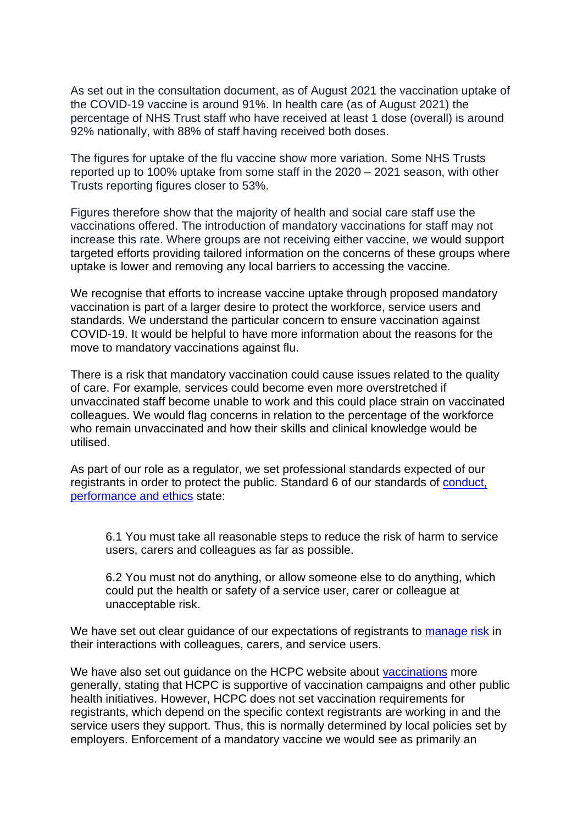As set out in the consultation document, as of August 2021 the vaccination uptake of the COVID-19 vaccine is around 91%. In health care (as of August 2021) the percentage of NHS Trust staff who have received at least 1 dose (overall) is around 92% nationally, with 88% of staff having received both doses.

The figures for uptake of the flu vaccine show more variation. Some NHS Trusts reported up to 100% uptake from some staff in the 2020 – 2021 season, with other Trusts reporting figures closer to 53%.

Figures therefore show that the majority of health and social care staff use the vaccinations offered. The introduction of mandatory vaccinations for staff may not increase this rate. Where groups are not receiving either vaccine, we would support targeted efforts providing tailored information on the concerns of these groups where uptake is lower and removing any local barriers to accessing the vaccine.

We recognise that efforts to increase vaccine uptake through proposed mandatory vaccination is part of a larger desire to protect the workforce, service users and standards. We understand the particular concern to ensure vaccination against COVID-19. It would be helpful to have more information about the reasons for the move to mandatory vaccinations against flu.

There is a risk that mandatory vaccination could cause issues related to the quality of care. For example, services could become even more overstretched if unvaccinated staff become unable to work and this could place strain on vaccinated colleagues. We would flag concerns in relation to the percentage of the workforce who remain unvaccinated and how their skills and clinical knowledge would be utilised.

As part of our role as a regulator, we set professional standards expected of our registrants in order to protect the public. Standard 6 of our standards of [conduct,](https://www.hcpc-uk.org/standards/standards-of-conduct-performance-and-ethics/)  [performance and ethics](https://www.hcpc-uk.org/standards/standards-of-conduct-performance-and-ethics/) state:

6.1 You must take all reasonable steps to reduce the risk of harm to service users, carers and colleagues as far as possible.

6.2 You must not do anything, or allow someone else to do anything, which could put the health or safety of a service user, carer or colleague at unacceptable risk.

We have set out clear guidance of our expectations of registrants to [manage risk](https://www.hcpc-uk.org/covid-19/advice/applying-our-standards/managing-risk/) in their interactions with colleagues, carers, and service users.

We have also set out quidance on the HCPC website about [vaccinations](https://www.hcpc-uk.org/covid-19/vaccinations-what-you-need-to-know/) more generally, stating that HCPC is supportive of vaccination campaigns and other public health initiatives. However, HCPC does not set vaccination requirements for registrants, which depend on the specific context registrants are working in and the service users they support. Thus, this is normally determined by local policies set by employers. Enforcement of a mandatory vaccine we would see as primarily an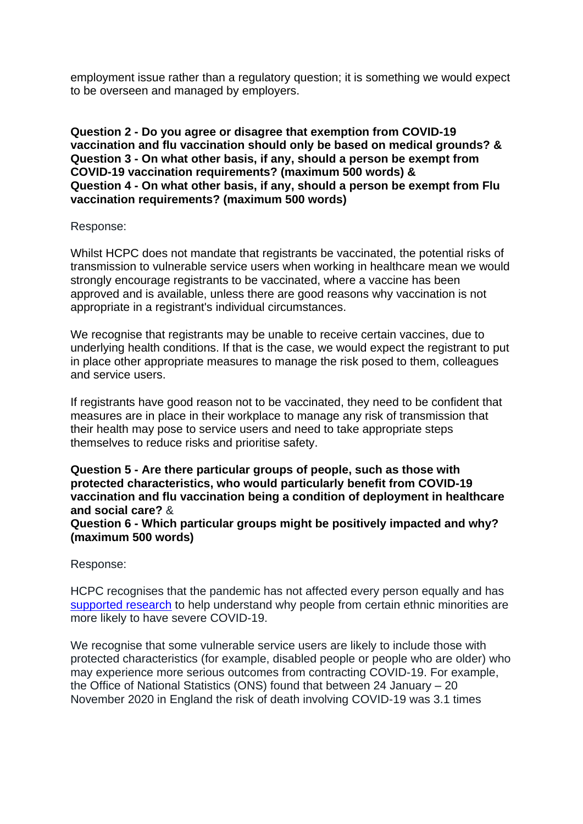employment issue rather than a regulatory question; it is something we would expect to be overseen and managed by employers.

**Question 2 - Do you agree or disagree that exemption from COVID-19 vaccination and flu vaccination should only be based on medical grounds? & Question 3 - On what other basis, if any, should a person be exempt from COVID-19 vaccination requirements? (maximum 500 words) & Question 4 - On what other basis, if any, should a person be exempt from Flu vaccination requirements? (maximum 500 words)**

#### Response:

Whilst HCPC does not mandate that registrants be vaccinated, the potential risks of transmission to vulnerable service users when working in healthcare mean we would strongly encourage registrants to be vaccinated, where a vaccine has been approved and is available, unless there are good reasons why vaccination is not appropriate in a registrant's individual circumstances.

We recognise that registrants may be unable to receive certain vaccines, due to underlying health conditions. If that is the case, we would expect the registrant to put in place other appropriate measures to manage the risk posed to them, colleagues and service users.

If registrants have good reason not to be vaccinated, they need to be confident that measures are in place in their workplace to manage any risk of transmission that their health may pose to service users and need to take appropriate steps themselves to reduce risks and prioritise safety.

**Question 5 - Are there particular groups of people, such as those with protected characteristics, who would particularly benefit from COVID-19 vaccination and flu vaccination being a condition of deployment in healthcare and social care?** & **Question 6 - Which particular groups might be positively impacted and why? (maximum 500 words)**

#### Response:

HCPC recognises that the pandemic has not affected every person equally and has [supported research](https://www.hcpc-uk.org/news-and-events/news/2020/hcpc-supports-research-on-ethnicity-and-covid-19/) to help understand why people from certain ethnic minorities are more likely to have severe COVID-19.

We recognise that some vulnerable service users are likely to include those with protected characteristics (for example, disabled people or people who are older) who may experience more serious outcomes from contracting COVID-19. For example, the Office of National Statistics (ONS) found that between 24 January – 20 November 2020 in England the risk of death involving COVID-19 was 3.1 times